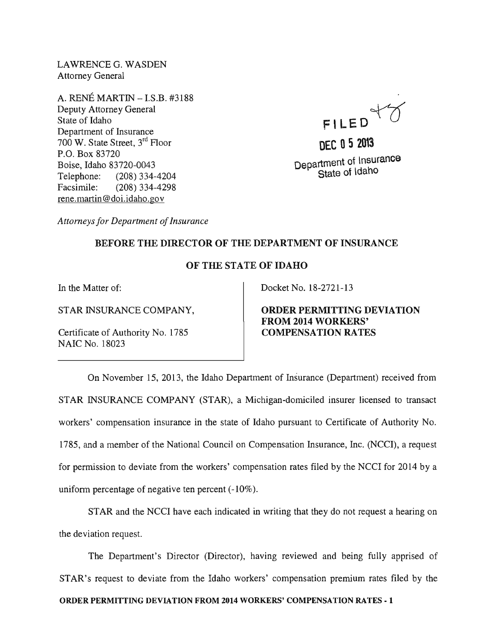LAWRENCEG. WASDEN Attorney General

A. RENE MARTIN -I.S.B. #3188 Deputy Attorney General State of Idaho Department of Insurance 700 W. State Street, 3rd Floor P.O. Box 83720 Boise, Idaho 83720-0043 Telephone: (208) 334-4204 Facsimile: (208) 334-4298 rene.martin@doi.idaho.gov

FILED<sup>Y</sup>

**DEC 052013 Department of Insurance State of Idaho** 

*Attorneys for Department of Insurance* 

## **BEFORE THE DIRECTOR OF THE DEPARTMENT OF INSURANCE**

## **OF THE STATE OF IDAHO**

In the Matter of:

STAR INSURANCE COMPANY,

Certificate of Authority No. 1785 NAIC No. 18023

Docket No. 18-2721-13

**ORDER PERMITTING DEVIATION FROM 2014 WORKERS' COMPENSATION RATES** 

On November 15, 2013, the Idaho Department of Insurance (Department) received from STAR INSURANCE COMPANY (STAR), a Michigan-domiciled insurer licensed to transact workers' compensation insurance in the state of Idaho pursuant to Certificate of Authority No. 1785, and a member of the National Council on Compensation Insurance, Inc. (NCCI), a request for permission to deviate from the workers' compensation rates filed by the NCCI for 2014 by a uniform percentage of negative ten percent (-10%).

STAR and the NCCI have each indicated in writing that they do not request a hearing on the deviation request.

The Department's Director (Director), having reviewed and being fully apprised of STAR's request to deviate from the Idaho workers' compensation premium rates filed by the **ORDER PERMITTING DEVIATION FROM 2014 WORKERS' COMPENSATION RATES - 1**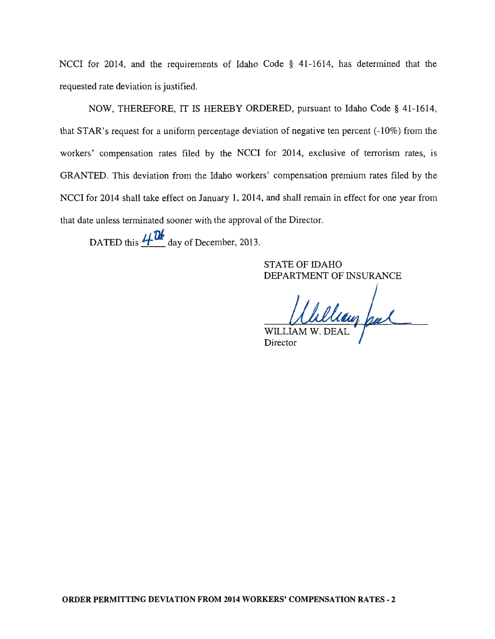NCCI for 2014, and the requirements of Idaho Code § 41-1614, has determined that the requested rate deviation is justified.

NOW, THEREFORE, IT IS HEREBY ORDERED, pursuant to Idaho Code § 41-1614, that STAR's request for a uniform percentage deviation of negative ten percent  $(-10\%)$  from the workers' compensation rates filed by the NCCI for 2014, exclusive of terrorism rates, is GRANTED. This deviation from the Idaho workers' compensation premium rates filed by the NCCI for 2014 shall take effect on January 1, 2014, and shall remain in effect for one year from that date unless terminated sooner with the approval of the Director.

DATED this  $4\pi$ <sup>04</sup> day of December, 2013.

STATE OF IDAHO DEPARTMENT OF INSURANCE

Ullian Jul **WILLIAM** 

**Director**